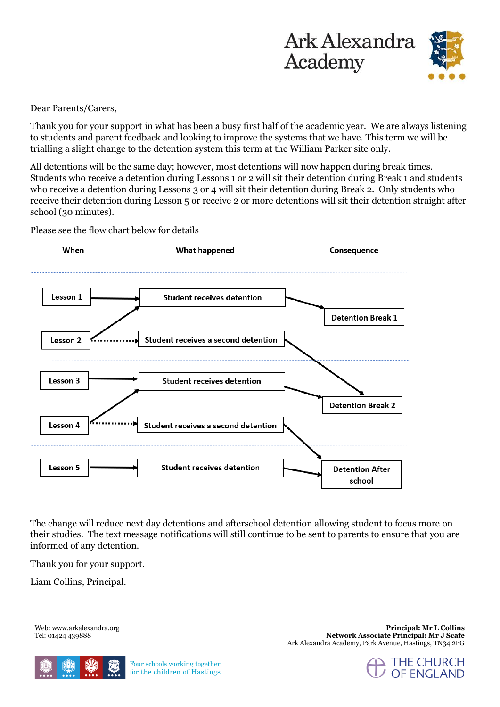



Dear Parents/Carers,

Thank you for your support in what has been a busy first half of the academic year. We are always listening to students and parent feedback and looking to improve the systems that we have. This term we will be trialling a slight change to the detention system this term at the William Parker site only.

All detentions will be the same day; however, most detentions will now happen during break times. Students who receive a detention during Lessons 1 or 2 will sit their detention during Break 1 and students who receive a detention during Lessons 3 or 4 will sit their detention during Break 2. Only students who receive their detention during Lesson 5 or receive 2 or more detentions will sit their detention straight after school (30 minutes).



Please see the flow chart below for details

The change will reduce next day detentions and afterschool detention allowing student to focus more on their studies. The text message notifications will still continue to be sent to parents to ensure that you are informed of any detention.

Thank you for your support.

Liam Collins, Principal.

Web: www.arkalexandra.org Tel: 01424 439888



**Principal: Mr L Collins Network Associate Principal: Mr J Scafe** Ark Alexandra Academy, Park Avenue, Hastings, TN34 2PG